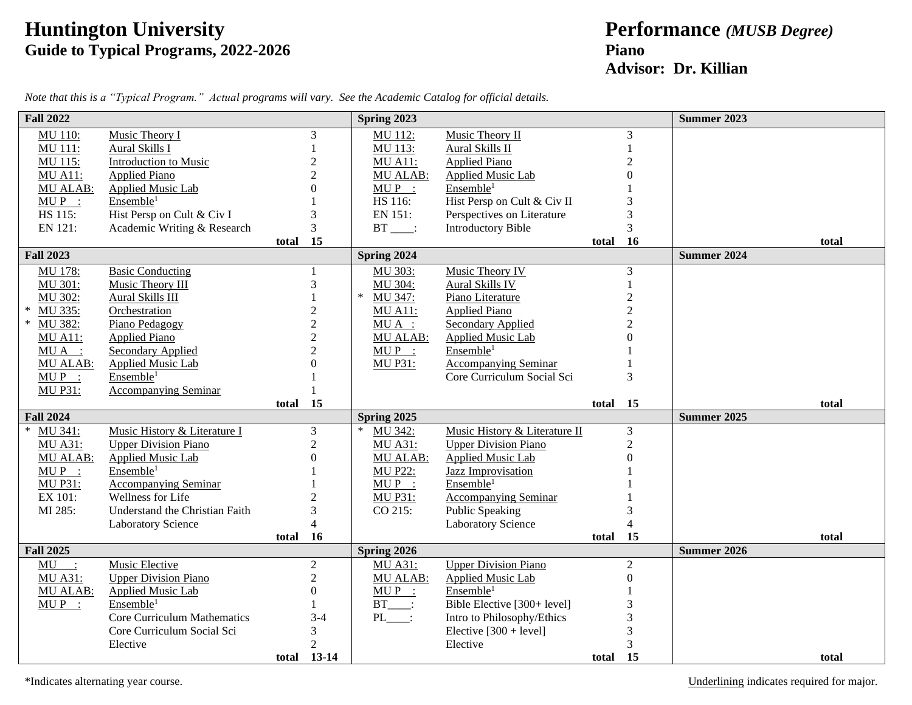## **Huntington University Performance** *(MUSB Degree)* **Guide to Typical Programs, 2022-2026 Piano**

## **Advisor: Dr. Killian**

| <b>Fall 2022</b>  |                                    |          |                | Spring 2023       |                               |          |                  | <b>Summer 2023</b> |       |
|-------------------|------------------------------------|----------|----------------|-------------------|-------------------------------|----------|------------------|--------------------|-------|
| MU 110:           | Music Theory I                     |          | 3              | MU 112:           | Music Theory II               |          | 3                |                    |       |
| MU 111:           | Aural Skills I                     |          |                | MU 113:           | Aural Skills II               |          |                  |                    |       |
| <b>MU 115:</b>    | <b>Introduction to Music</b>       |          | 2              | <b>MU A11:</b>    | <b>Applied Piano</b>          |          | $\overline{2}$   |                    |       |
| <b>MU A11:</b>    | <b>Applied Piano</b>               |          | $\overline{c}$ | MU ALAB:          | <b>Applied Music Lab</b>      |          |                  |                    |       |
| <b>MU ALAB:</b>   | <b>Applied Music Lab</b>           |          |                | $MUP$ :           | Ensemble <sup>1</sup>         |          |                  |                    |       |
| $MUP$ :           | Ensemble <sup>1</sup>              |          |                | HS 116:           | Hist Persp on Cult & Civ II   |          |                  |                    |       |
| HS 115:           | Hist Persp on Cult & Civ I         |          | 3              | EN 151:           | Perspectives on Literature    |          | 3                |                    |       |
| EN 121:           | Academic Writing & Research        |          | 3              | $BT$ :            | <b>Introductory Bible</b>     |          | 3                |                    |       |
|                   |                                    | total    | 15             |                   |                               | total 16 |                  |                    | total |
| <b>Fall 2023</b>  |                                    |          |                | Spring 2024       |                               |          |                  | <b>Summer 2024</b> |       |
| <b>MU 178:</b>    | <b>Basic Conducting</b>            |          |                | MU 303:           | Music Theory IV               |          | $\mathfrak 3$    |                    |       |
| MU 301:           | Music Theory III                   |          | 3              | MU 304:           | Aural Skills IV               |          |                  |                    |       |
| MU 302:           | Aural Skills III                   |          |                | MU 347:<br>$\ast$ | Piano Literature              |          | $\overline{2}$   |                    |       |
| $\ast$<br>MU 335: | Orchestration                      |          | $\overline{2}$ | <b>MU A11:</b>    | <b>Applied Piano</b>          |          | $\overline{2}$   |                    |       |
| $\ast$<br>MU 382: | Piano Pedagogy                     |          | $\overline{c}$ | $MU A$ :          | <b>Secondary Applied</b>      |          | $\overline{2}$   |                    |       |
| <b>MU A11:</b>    | <b>Applied Piano</b>               |          | $\overline{c}$ | <b>MU ALAB:</b>   | Applied Music Lab             |          |                  |                    |       |
| $MU A$ :          | Secondary Applied                  |          |                | $MUP$ :           | Ensemble <sup>1</sup>         |          |                  |                    |       |
| <b>MU ALAB:</b>   | <b>Applied Music Lab</b>           |          |                | <b>MU P31:</b>    | <b>Accompanying Seminar</b>   |          |                  |                    |       |
| $MUP$ :           | Ensemble <sup>1</sup>              |          |                |                   | Core Curriculum Social Sci    |          | 3                |                    |       |
| <b>MU P31:</b>    | <b>Accompanying Seminar</b>        |          |                |                   |                               |          |                  |                    |       |
|                   |                                    | total 15 |                |                   |                               | total 15 |                  |                    | total |
| <b>Fall 2024</b>  |                                    |          |                | Spring 2025       |                               |          |                  | <b>Summer 2025</b> |       |
| $\ast$<br>MU 341: | Music History & Literature I       |          | 3              | $\ast$<br>MU 342: | Music History & Literature II |          | $\mathfrak{Z}$   |                    |       |
| <b>MU A31:</b>    | <b>Upper Division Piano</b>        |          | $\overline{2}$ | <b>MU A31:</b>    | <b>Upper Division Piano</b>   |          | $\overline{2}$   |                    |       |
| <b>MU ALAB:</b>   | Applied Music Lab                  |          | 0              | <b>MU ALAB:</b>   | <b>Applied Music Lab</b>      |          | $\overline{0}$   |                    |       |
| $MUP$ :           | Ensemble <sup>1</sup>              |          |                | <b>MU P22:</b>    | <b>Jazz Improvisation</b>     |          |                  |                    |       |
| <b>MU P31:</b>    | <b>Accompanying Seminar</b>        |          |                | $MUP$ :           | Ensemble <sup>1</sup>         |          |                  |                    |       |
| EX 101:           | Wellness for Life                  |          |                | <b>MU P31:</b>    | <b>Accompanying Seminar</b>   |          |                  |                    |       |
| MI 285:           | Understand the Christian Faith     |          | 3              | CO 215:           | <b>Public Speaking</b>        |          |                  |                    |       |
|                   | <b>Laboratory Science</b>          |          | $\overline{4}$ |                   | Laboratory Science            |          | $\overline{4}$   |                    |       |
|                   |                                    | total    | <b>16</b>      |                   |                               | total 15 |                  |                    | total |
| <b>Fall 2025</b>  |                                    |          |                | Spring 2026       |                               |          |                  | Summer 2026        |       |
| $MU$ :            | Music Elective                     |          | $\overline{2}$ | <b>MU A31:</b>    | <b>Upper Division Piano</b>   |          | $\overline{2}$   |                    |       |
| <b>MU A31:</b>    | <b>Upper Division Piano</b>        |          | $\overline{2}$ | <b>MU ALAB:</b>   | <b>Applied Music Lab</b>      |          | $\boldsymbol{0}$ |                    |       |
| <b>MU ALAB:</b>   | <b>Applied Music Lab</b>           |          | $\overline{0}$ | $MUP$ :           | Ensemble <sup>1</sup>         |          |                  |                    |       |
| $MUP$ :           | Ensemble <sup>1</sup>              |          |                | $BT$ :            | Bible Elective [300+ level]   |          | 3                |                    |       |
|                   | <b>Core Curriculum Mathematics</b> |          | $3 - 4$        | $PL$ :            | Intro to Philosophy/Ethics    |          | 3                |                    |       |
|                   | Core Curriculum Social Sci         |          | 3              |                   | Elective $[300 + level]$      |          | $\overline{3}$   |                    |       |
|                   | Elective                           |          | $\overline{2}$ |                   | Elective                      |          | 3                |                    |       |
|                   |                                    |          | total 13-14    |                   |                               | total    | 15               |                    | total |

*Note that this is a "Typical Program." Actual programs will vary. See the Academic Catalog for official details.*

\*Indicates alternating year course. Underlining indicates required for major.